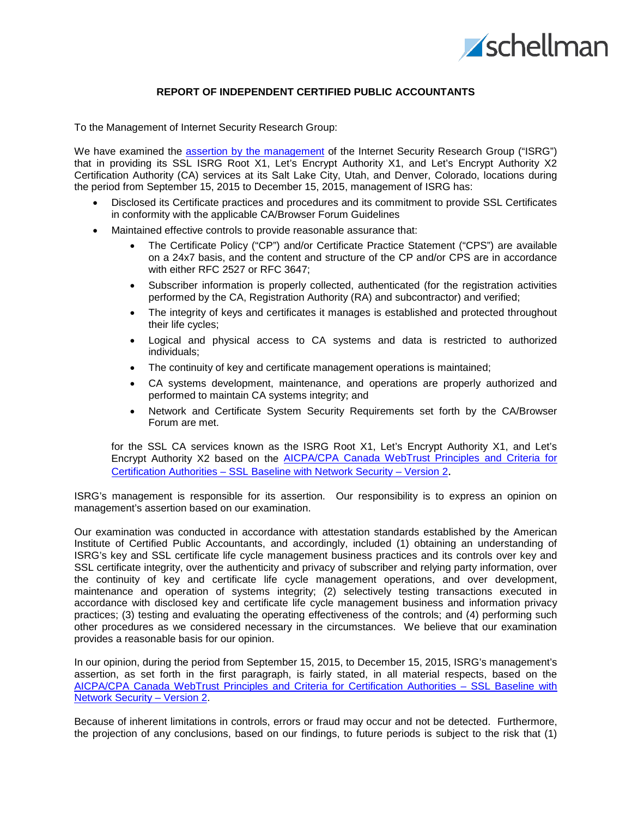

## **REPORT OF INDEPENDENT CERTIFIED PUBLIC ACCOUNTANTS**

To the Management of Internet Security Research Group:

We have examined the [assertion by the management](#page-2-0) of the Internet Security Research Group ("ISRG") that in providing its SSL ISRG Root X1, Let's Encrypt Authority X1, and Let's Encrypt Authority X2 Certification Authority (CA) services at its Salt Lake City, Utah, and Denver, Colorado, locations during the period from September 15, 2015 to December 15, 2015, management of ISRG has:

- Disclosed its Certificate practices and procedures and its commitment to provide SSL Certificates in conformity with the applicable CA/Browser Forum Guidelines
- Maintained effective controls to provide reasonable assurance that:
	- The Certificate Policy ("CP") and/or Certificate Practice Statement ("CPS") are available on a 24x7 basis, and the content and structure of the CP and/or CPS are in accordance with either RFC 2527 or RFC 3647;
	- Subscriber information is properly collected, authenticated (for the registration activities performed by the CA, Registration Authority (RA) and subcontractor) and verified;
	- The integrity of keys and certificates it manages is established and protected throughout their life cycles;
	- Logical and physical access to CA systems and data is restricted to authorized individuals;
	- The continuity of key and certificate management operations is maintained;
	- CA systems development, maintenance, and operations are properly authorized and performed to maintain CA systems integrity; and
	- Network and Certificate System Security Requirements set forth by the CA/Browser Forum are met.

for the SSL CA services known as the ISRG Root X1, Let's Encrypt Authority X1, and Let's Encrypt Authority X2 based on the [AICPA/CPA Canada WebTrust Principles and Criteria for](http://www.webtrust.org/homepage-documents/item79806.pdf)  Certification Authorities – [SSL Baseline with Network Security –](http://www.webtrust.org/homepage-documents/item79806.pdf) Version 2.

ISRG's management is responsible for its assertion. Our responsibility is to express an opinion on management's assertion based on our examination.

Our examination was conducted in accordance with attestation standards established by the American Institute of Certified Public Accountants, and accordingly, included (1) obtaining an understanding of ISRG's key and SSL certificate life cycle management business practices and its controls over key and SSL certificate integrity, over the authenticity and privacy of subscriber and relying party information, over the continuity of key and certificate life cycle management operations, and over development, maintenance and operation of systems integrity; (2) selectively testing transactions executed in accordance with disclosed key and certificate life cycle management business and information privacy practices; (3) testing and evaluating the operating effectiveness of the controls; and (4) performing such other procedures as we considered necessary in the circumstances. We believe that our examination provides a reasonable basis for our opinion.

In our opinion, during the period from September 15, 2015, to December 15, 2015, ISRG's management's assertion, as set forth in the first paragraph, is fairly stated, in all material respects, based on the [AICPA/CPA Canada WebTrust Principles and Criteria for Certification Authorities –](http://www.webtrust.org/homepage-documents/item79806.pdf) SSL Baseline with [Network Security –](http://www.webtrust.org/homepage-documents/item79806.pdf) Version 2.

Because of inherent limitations in controls, errors or fraud may occur and not be detected. Furthermore, the projection of any conclusions, based on our findings, to future periods is subject to the risk that (1)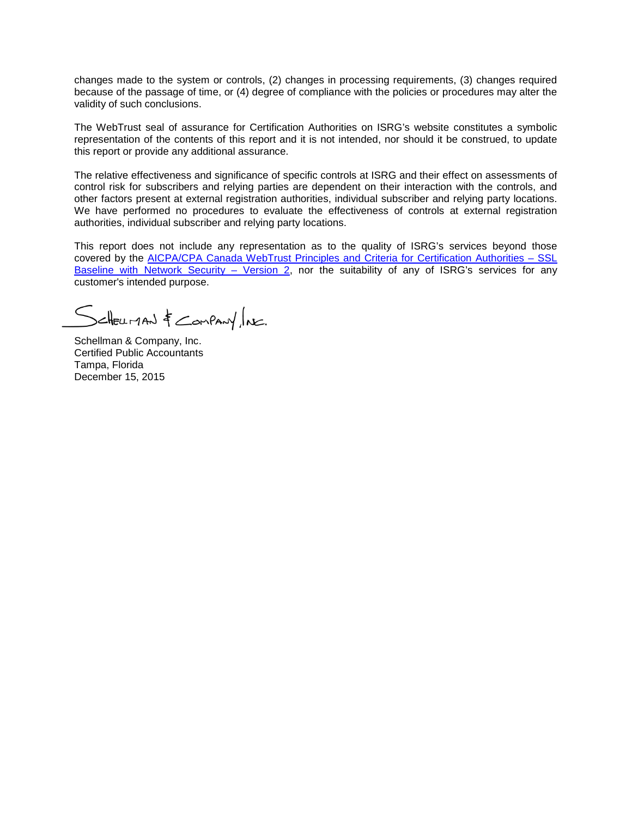changes made to the system or controls, (2) changes in processing requirements, (3) changes required because of the passage of time, or (4) degree of compliance with the policies or procedures may alter the validity of such conclusions.

The WebTrust seal of assurance for Certification Authorities on ISRG's website constitutes a symbolic representation of the contents of this report and it is not intended, nor should it be construed, to update this report or provide any additional assurance.

The relative effectiveness and significance of specific controls at ISRG and their effect on assessments of control risk for subscribers and relying parties are dependent on their interaction with the controls, and other factors present at external registration authorities, individual subscriber and relying party locations. We have performed no procedures to evaluate the effectiveness of controls at external registration authorities, individual subscriber and relying party locations.

This report does not include any representation as to the quality of ISRG's services beyond those covered by the [AICPA/CPA Canada WebTrust Principles and Criteria for Certification Authorities –](http://www.webtrust.org/homepage-documents/item79806.pdf) SSL [Baseline with Network Security –](http://www.webtrust.org/homepage-documents/item79806.pdf) Version 2, nor the suitability of any of ISRG's services for any customer's intended purpose.

 $S$ cHELLMAN  $\frac{1}{2}$  COMPANY, INC.

Schellman & Company, Inc. Certified Public Accountants Tampa, Florida December 15, 2015